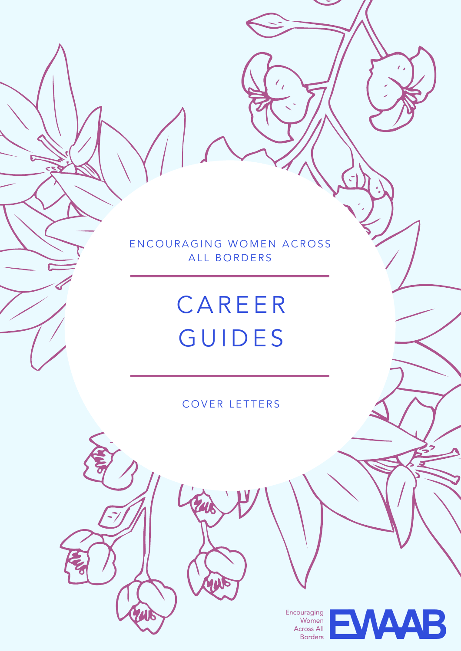EN COURAGING WOMEN ACROSS ALL BORDERS

### **CAREER GUIDES**

#### COVER LETTERS

Encouraging<br>Women Across All **Borders** 

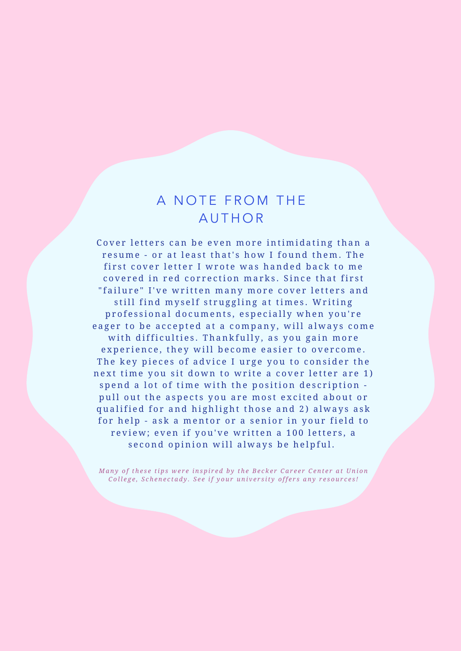#### A NOTE FROM THE **AUTHOR**

Cover letters can be even more intimidating than a resume - or at least that's how I found them. The first cover letter I wrote was handed back to me covered in red correction marks. Since that first "failure" I've written many more cover letters and still find myself struggling at times. Writing professional documents, especially when you're eager to be accepted at a company, will always come with difficulties. Thankfully, as you gain more experience, they will become easier to overcome. The key pieces of advice I urge you to consider the next time you sit down to write a cover letter are 1) spend a lot of time with the position description pull out the aspects you are most excited about or qualified for and highlight those and 2) always ask for help - ask a mentor or a senior in your field to review; even if you've written a 100 letters, a second opinion will always be helpful.

Many of these tips were inspired by the Becker Career Center at Union College, Schenectady. See if your university offers any resources!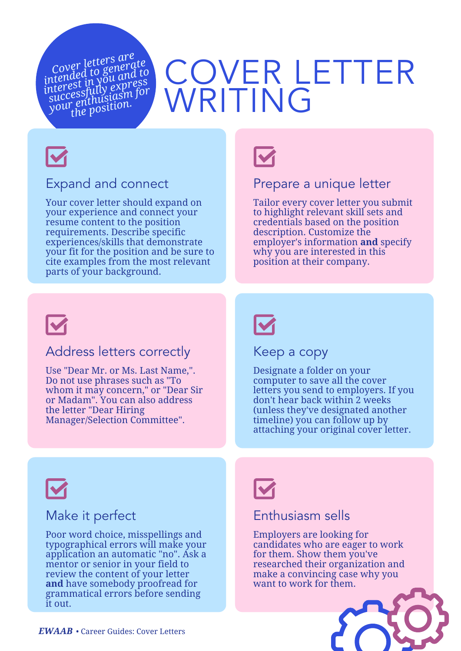*Cover letters are intended to generate interest in you and to successfully express your enthusiasm for the position.*

### COVER LETTER WRITING



#### Expand and connect

Your cover letter should expand on your experience and connect your resume content to the position requirements. Describe specific experiences/skills that demonstrate your fit for the position and be sure to cite examples from the most relevant parts of your background.



#### Prepare a unique letter

Tailor every cover letter you submit to highlight relevant skill sets and credentials based on the position description. Customize the employer's information **and** specify why you are interested in this position at their company.



#### Address letters correctly

Use "Dear Mr. or Ms. Last Name,". Do not use phrases such as "To whom it may concern," or "Dear Sir or Madam". You can also address the letter "Dear Hiring Manager/Selection Committee".



Keep a copy

Designate a folder on your computer to save all the cover letters you send to employers. If you don't hear back within 2 weeks (unless they've designated another timeline) you can follow up by attaching your original cover letter.



#### Make it perfect

Poor word choice, misspellings and typographical errors will make your application an automatic "no". Ask a mentor or senior in your field to review the content of your letter **and** have somebody proofread for grammatical errors before sending it out.



#### Enthusiasm sells

Employers are looking for candidates who are eager to work for them. Show them you've researched their organization and make a convincing case why you want to work for them.

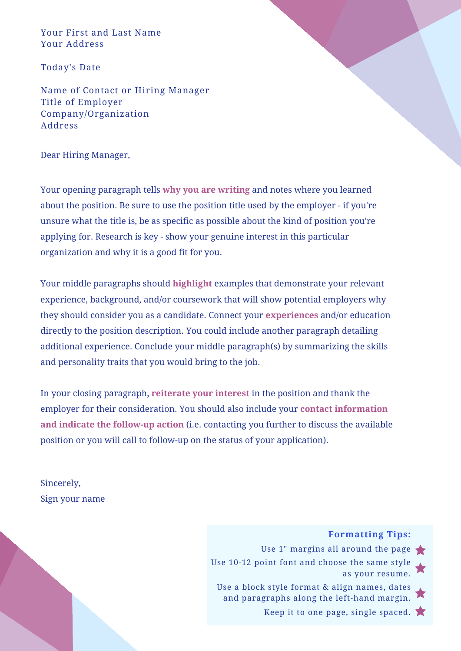Your First and Last Name Your Address

Today's Date

Name of Contact or Hiring Manager Title of Employer Company/Organization Address

Dear Hiring Manager,

Your opening paragraph tells **why you are writing** and notes where you learned about the position. Be sure to use the position title used by the employer - if you're unsure what the title is, be as specific as possible about the kind of position you're applying for. Research is key - show your genuine interest in this particular organization and why it is a good fit for you.

Your middle paragraphs should **highlight** examples that demonstrate your relevant experience, background, and/or coursework that will show potential employers why they should consider you as a candidate. Connect your **experiences** and/or education directly to the position description. You could include another paragraph detailing additional experience. Conclude your middle paragraph(s) by summarizing the skills and personality traits that you would bring to the job.

In your closing paragraph, **reiterate your interest** in the position and thank the employer for their consideration. You should also include your **contact information and indicate the follow-up action** (i.e. contacting you further to discuss the available position or you will call to follow-up on the status of your application).

Sincerely, Sign your name

**Formatting Tips:**

Use 1" margins all around the page Use 10-12 point font and choose the same style as your resume. Use a block style format & align names, dates and paragraphs along the left-hand margin. Keep it to one page, single spaced.  $\blacktriangleright$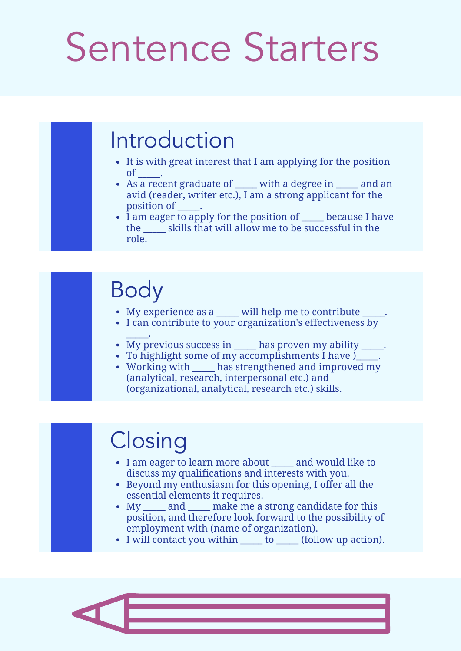## Sentence Starters